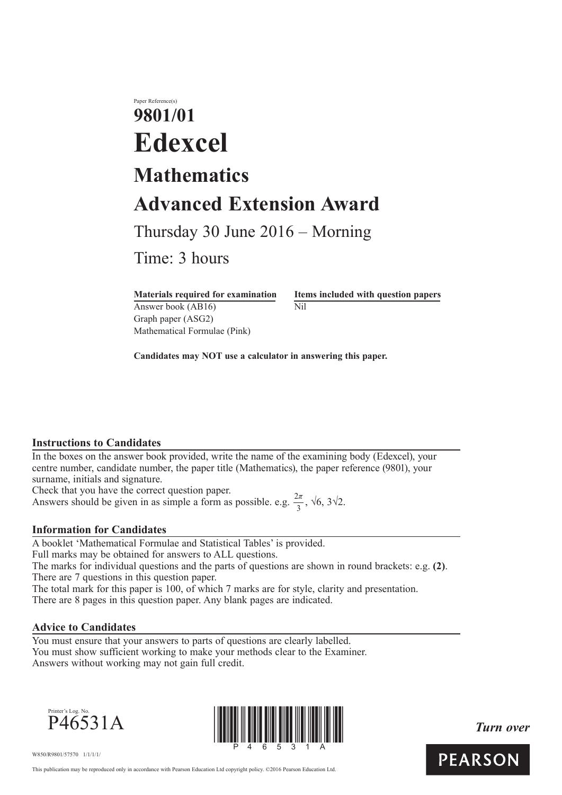# Paper Reference(s) **9801/01 Edexcel Mathematics Advanced Extension Award** Thursday 30 June 2016 – Morning

Time: 3 hours

Answer book (AB16) Nil Graph paper (ASG2) Mathematical Formulae (Pink)

**Materials required for examination Items included with question papers**

**Candidates may NOT use a calculator in answering this paper.**

## **Instructions to Candidates**

In the boxes on the answer book provided, write the name of the examining body (Edexcel), your centre number, candidate number, the paper title (Mathematics), the paper reference (9801), your surname, initials and signature.

Check that you have the correct question paper.

Answers should be given in as simple a form as possible. e.g.  $\frac{2\pi}{3}$ ,  $\sqrt{6}$ ,  $3\sqrt{2}$ .

## **Information for Candidates**

A booklet 'Mathematical Formulae and Statistical Tables' is provided. Full marks may be obtained for answers to ALL questions.

The marks for individual questions and the parts of questions are shown in round brackets: e.g. **(2)**. There are 7 questions in this question paper.

The total mark for this paper is 100, of which 7 marks are for style, clarity and presentation.

There are 8 pages in this question paper. Any blank pages are indicated.

## **Advice to Candidates**

You must ensure that your answers to parts of questions are clearly labelled. You must show sufficient working to make your methods clear to the Examiner. Answers without working may not gain full credit.





*Turn over*



W850/R9801/57570 1/1/1/1/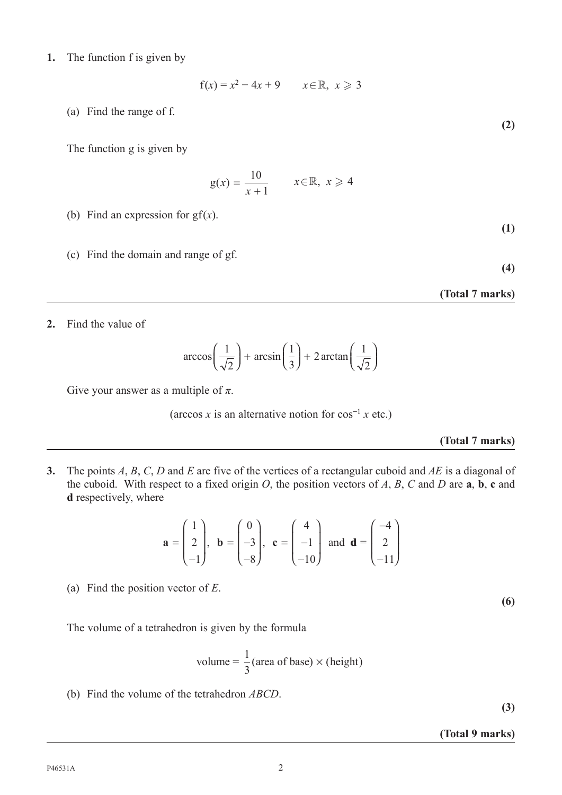**1.** The function f is given by

$$
f(x) = x^2 - 4x + 9 \qquad x \in \mathbb{R}, \ x \geq 3
$$

(a) Find the range of f.

The function g is given by

$$
g(x) = \frac{10}{x+1} \qquad x \in \mathbb{R}, \ x \geqslant 4
$$

- (b) Find an expression for gf(*x*).
- (c) Find the domain and range of gf.

**(Total 7 marks)**

**2.** Find the value of

$$
\arccos\left(\frac{1}{\sqrt{2}}\right) + \arcsin\left(\frac{1}{3}\right) + 2\arctan\left(\frac{1}{\sqrt{2}}\right)
$$

Give your answer as a multiple of  $\pi$ .

(arccos *x* is an alternative notion for  $\cos^{-1} x$  etc.)

#### **(Total 7 marks)**

**3.** The points *A*, *B*, *C*, *D* and *E* are five of the vertices of a rectangular cuboid and *AE* is a diagonal of the cuboid. With respect to a fixed origin *O*, the position vectors of *A*, *B*, *C* and *D* are **a**, **b**, **c** and **d** respectively, where

$$
\mathbf{a} = \begin{pmatrix} 1 \\ 2 \\ -1 \end{pmatrix}, \quad \mathbf{b} = \begin{pmatrix} 0 \\ -3 \\ -8 \end{pmatrix}, \quad \mathbf{c} = \begin{pmatrix} 4 \\ -1 \\ -10 \end{pmatrix} \text{ and } \mathbf{d} = \begin{pmatrix} -4 \\ 2 \\ -11 \end{pmatrix}
$$

(a) Find the position vector of *E*.

The volume of a tetrahedron is given by the formula

$$
volume = \frac{1}{3} (area of base) \times (height)
$$

(b) Find the volume of the tetrahedron *ABCD*.

**(3)**

#### **(Total 9 marks)**

**(2)**

**(1)**

**(4)**

**(6)**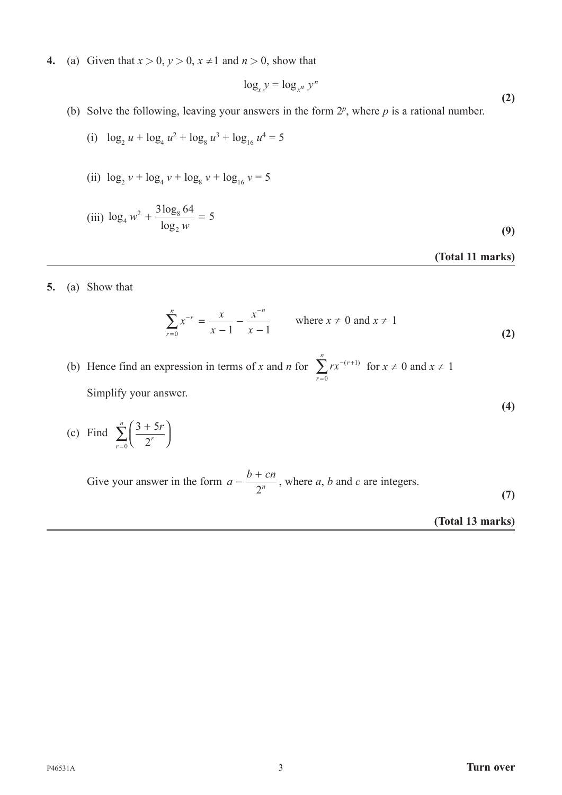**4.** (a) Given that  $x > 0$ ,  $y > 0$ ,  $x \ne 1$  and  $n > 0$ , show that

$$
\log_x y = \log_{x^n} y^n \tag{2}
$$

(b) Solve the following, leaving your answers in the form  $2^p$ , where p is a rational number.

(i) 
$$
\log_2 u + \log_4 u^2 + \log_8 u^3 + \log_{16} u^4 = 5
$$

(ii)  $\log_2 v + \log_4 v + \log_8 v + \log_{16} v = 5$ 

(iii) 
$$
\log_4 w^2 + \frac{3\log_8 64}{\log_2 w} = 5
$$
 (9)

**(Total 11 marks)**

**5.** (a) Show that

$$
\sum_{r=0}^{n} x^{-r} = \frac{x}{x-1} - \frac{x^{-n}}{x-1}
$$
 where  $x \neq 0$  and  $x \neq 1$  (2)

(b) Hence find an expression in terms of *x* and *n* for  $\sum_{n} r x^{-(n)}$ *r n*  $-(r +$  $\sum_{r=0} r x^{-(r+1)}$ for  $x \neq 0$  and  $x \neq 1$ Simplify your answer.

(c) Find  $\sum_{n=1}^n \left( \frac{3+5}{2} \right)$  $\sqrt{0}$  2  $(3 +$  $\sum_{r=0}^{n} \left( \frac{3+5r}{2^r} \right)$ *r n*

Give your answer in the form  $a - \frac{b + cn}{2^n}$ , where *a*, *b* and *c* are integers. **(7)**

**(Total 13 marks)** 

**(4)**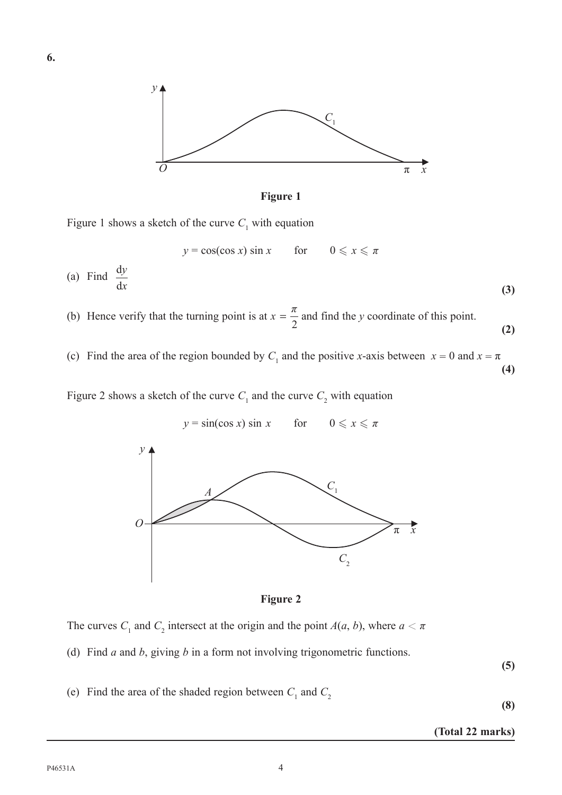



Figure 1 shows a sketch of the curve  $C_1$  with equation

$$
y = \cos(\cos x) \sin x \qquad \text{for} \qquad 0 \leq x \leq \pi
$$
\n(a) Find  $\frac{dy}{dx}$ 

\n(3)

(b) Hence verify that the turning point is at  $x = \frac{\pi}{2}$  $x = \frac{\pi}{2}$  and find the *y* coordinate of this point. **(2)**

(c) Find the area of the region bounded by  $C_1$  and the positive *x*-axis between  $x = 0$  and  $x = \pi$ **(4)**

Figure 2 shows a sketch of the curve  $C_1$  and the curve  $C_2$  with equation



**Figure 2**

The curves  $C_1$  and  $C_2$  intersect at the origin and the point  $A(a, b)$ , where  $a < \pi$ 

(d) Find *a* and *b*, giving *b* in a form not involving trigonometric functions.

**(5)**

(e) Find the area of the shaded region between  $C_1$  and  $C_2$ 

**(8)**

#### **(Total 22 marks)**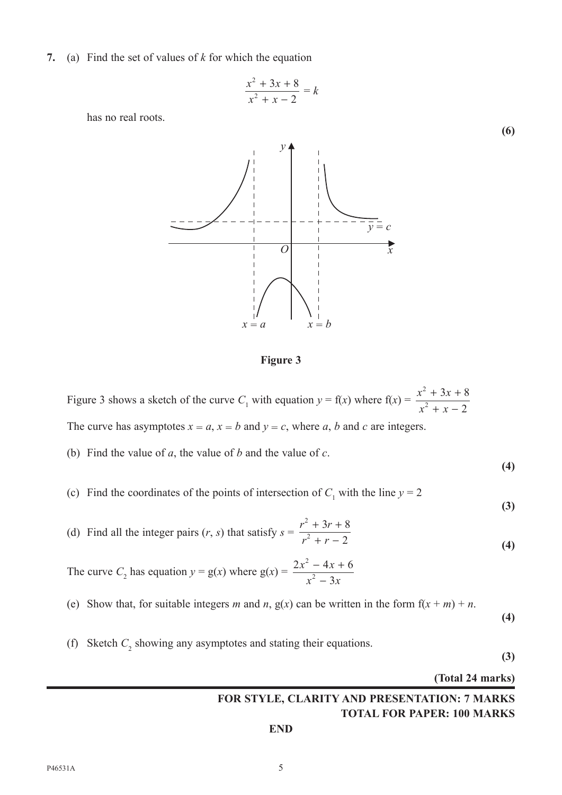**7.** (a) Find the set of values of *k* for which the equation

$$
\frac{x^2 + 3x + 8}{x^2 + x - 2} = k
$$

has no real roots.



#### **Figure 3**

Figure 3 shows a sketch of the curve  $C_1$  with equation  $y = f(x)$  where  $f(x) = \frac{x^2 + 3x}{x^2 + x}$ 2 2  $3x + 8$ 2  $+3x +$  $+ x -$ The curve has asymptotes  $x = a$ ,  $x = b$  and  $y = c$ , where *a*, *b* and *c* are integers.

(b) Find the value of *a*, the value of *b* and the value of *c*.

- (c) Find the coordinates of the points of intersection of  $C_1$  with the line  $y = 2$
- (d) Find all the integer pairs  $(r, s)$  that satisfy  $s =$  $r^2 + 3r$  $r^2 + r$ 2 2  $3r + 8$ 2  $+3r +$  $+r-2$  (4)

The curve  $C_2$  has equation  $y = g(x)$  where  $g(x) = \frac{2x^2 - 4x + 6}{x^2 - 3x}$ 2 2  $x^2 - 4x$  $x^2 - 3x$  $-4x +$ −

(e) Show that, for suitable integers *m* and *n*,  $g(x)$  can be written in the form  $f(x + m) + n$ .

**(4)**

**(4)**

**(3)**

(f) Sketch  $C_2$  showing any asymptotes and stating their equations.

**(3)**

**(Total 24 marks)**

## **FOR STYLE, CLARITY AND PRESENTATION: 7 MARKS TOTAL FOR PAPER: 100 MARKS**

#### **END**

**(6)**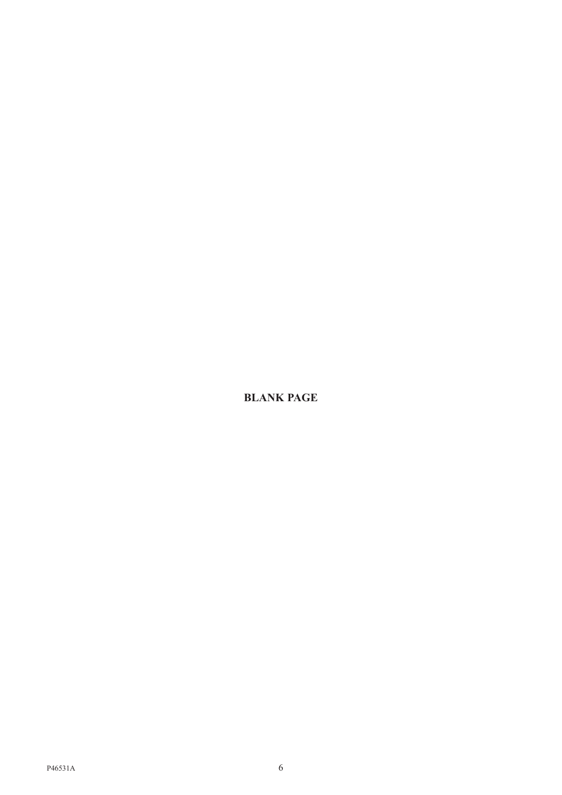**BLANK PAGE**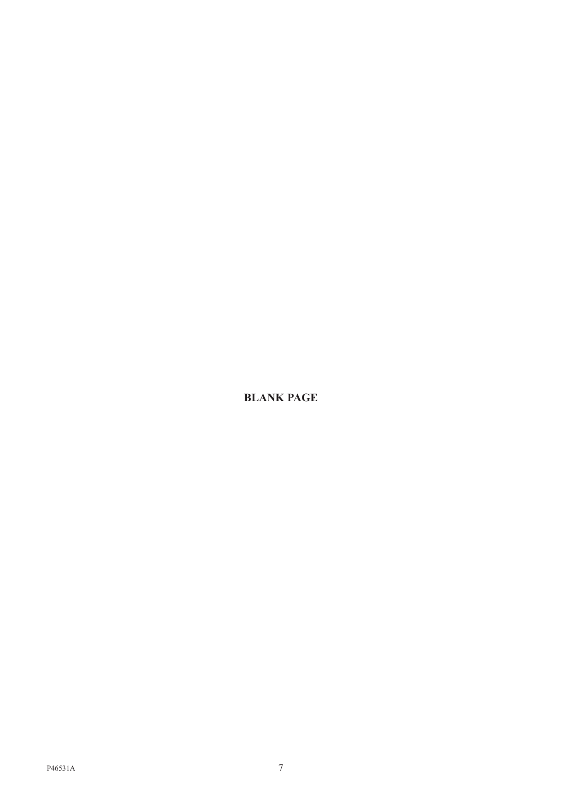**BLANK PAGE**